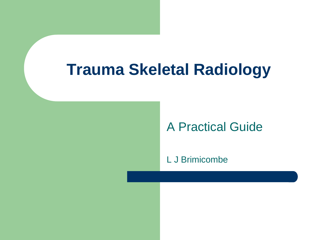#### **Trauma Skeletal Radiology**

#### A Practical Guide

L J Brimicombe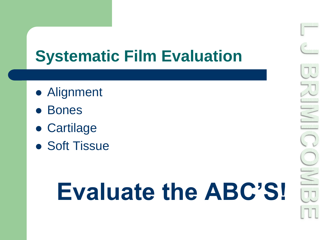#### **Systematic Film Evaluation**

- Alignment
- Bones
- Cartilage
- **Soft Tissue**

# **Evaluate the ABC'S!**

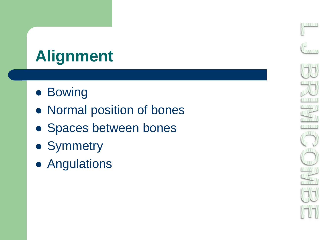## **Alignment**

- **Bowing**
- Normal position of bones
- Spaces between bones
- Symmetry
- **Angulations**

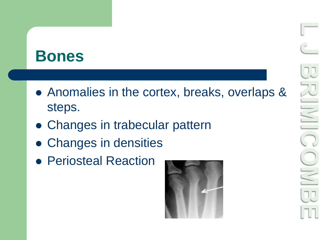#### **Bones**

- Anomalies in the cortex, breaks, overlaps & steps.
- Changes in trabecular pattern
- Changes in densities
- **Periosteal Reaction**

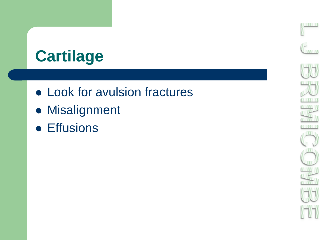## **Cartilage**

- Look for avulsion fractures
- **Misalignment**
- **•** Effusions

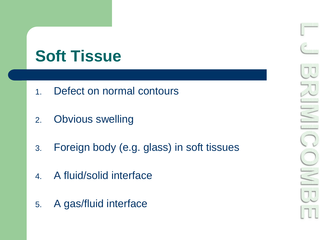#### **Soft Tissue**

- 1. Defect on normal contours
- 2. Obvious swelling
- 3. Foreign body (e.g. glass) in soft tissues
- 4. A fluid/solid interface
- 5. A gas/fluid interface

![](_page_5_Picture_6.jpeg)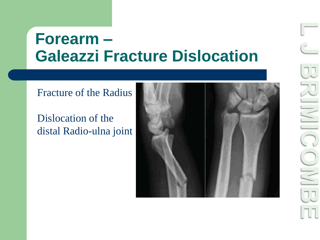#### **Forearm – Galeazzi Fracture Dislocation**

#### Fracture of the Radius

#### Dislocation of the distal Radio-ulna joint

![](_page_6_Picture_3.jpeg)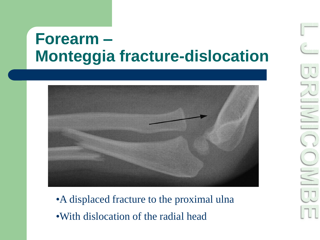#### **Forearm – Monteggia fracture-dislocation**

![](_page_7_Picture_1.jpeg)

•A displaced fracture to the proximal ulna •With dislocation of the radial head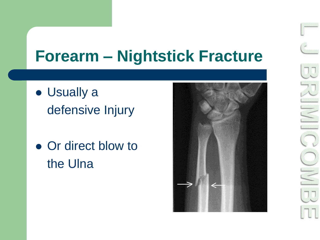#### **Forearm – Nightstick Fracture**

- Usually a defensive Injury
- Or direct blow to the Ulna

![](_page_8_Picture_3.jpeg)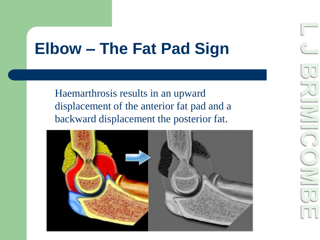#### **Elbow – The Fat Pad Sign**

Haemarthrosis results in an upward displacement of the anterior fat pad and a backward displacement the posterior fat.

![](_page_9_Picture_2.jpeg)

![](_page_9_Picture_3.jpeg)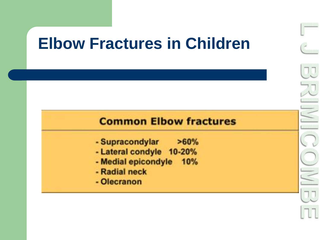#### **Elbow Fractures in Children**

![](_page_10_Figure_1.jpeg)

- Supracondylar >60%
- Lateral condyle 10-20%
- Medial epicondyle 10%
- Radial neck
- Olecranon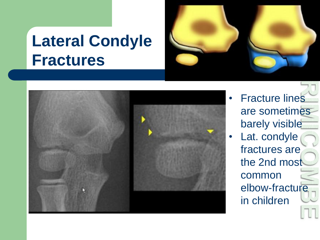#### **Lateral Condyle Fractures**

![](_page_11_Picture_1.jpeg)

![](_page_11_Picture_2.jpeg)

- **Fracture lines** are sometimes barely visible
- Lat. condyle fractures are the 2nd most common elbow-fracture in children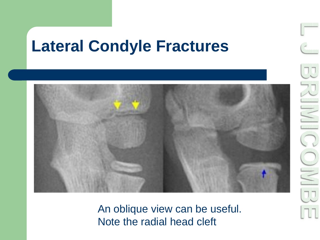#### **Lateral Condyle Fractures**

![](_page_12_Picture_1.jpeg)

An oblique view can be useful. Note the radial head cleft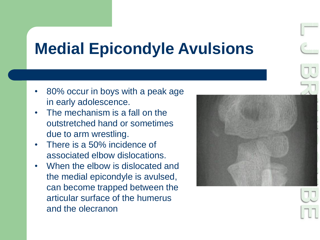#### **Medial Epicondyle Avulsions**

- 80% occur in boys with a peak age in early adolescence.
- The mechanism is a fall on the outstretched hand or sometimes due to arm wrestling.
- There is a 50% incidence of associated elbow dislocations.
- When the elbow is dislocated and the medial epicondyle is avulsed, can become trapped between the articular surface of the humerus and the olecranon

![](_page_13_Picture_5.jpeg)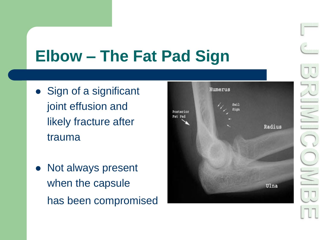## **Elbow – The Fat Pad Sign**

- Sign of a significant joint effusion and likely fracture after trauma
- Not always present when the capsule has been compromised

![](_page_14_Figure_3.jpeg)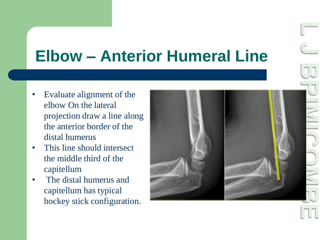## **Elbow – Anterior Humeral Line**

- Evaluate alignment of the elbow On the lateral projection draw a line along the anterior border of the distal humerus
- This line should intersect the middle third of the capitellum
- The distal humerus and capitellum has typical hockey stick configuration.

![](_page_15_Picture_4.jpeg)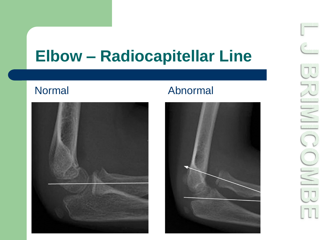#### **Elbow – Radiocapitellar Line**

![](_page_16_Picture_2.jpeg)

#### Normal Abnormal

![](_page_16_Picture_4.jpeg)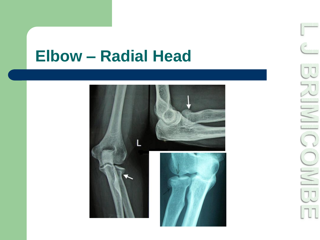#### **Elbow – Radial Head**

![](_page_17_Picture_1.jpeg)

![](_page_17_Picture_2.jpeg)

**ANNIBARA**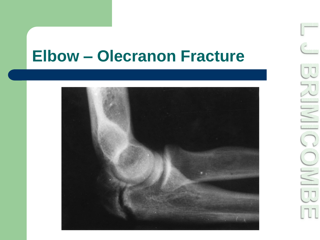#### **Elbow – Olecranon Fracture**

![](_page_18_Picture_1.jpeg)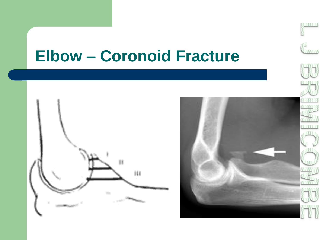#### **Elbow – Coronoid Fracture**

![](_page_19_Figure_1.jpeg)

![](_page_19_Picture_2.jpeg)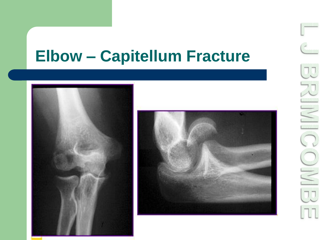#### **Elbow – Capitellum Fracture**

![](_page_20_Picture_1.jpeg)

![](_page_20_Picture_2.jpeg)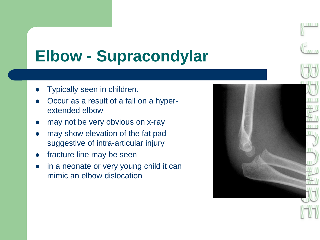![](_page_21_Picture_0.jpeg)

#### **Elbow - Supracondylar**

- Typically seen in children.
- Occur as a result of a fall on a hyperextended elbow
- may not be very obvious on x-ray
- may show elevation of the fat pad suggestive of intra-articular injury
- fracture line may be seen
- in a neonate or very young child it can mimic an elbow dislocation

![](_page_21_Picture_8.jpeg)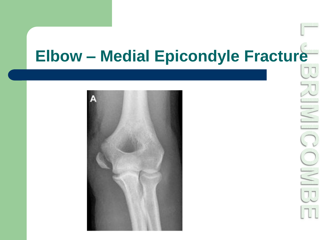## **Elbow – Medial Epicondyle Fracture**

![](_page_22_Picture_1.jpeg)

![](_page_22_Picture_2.jpeg)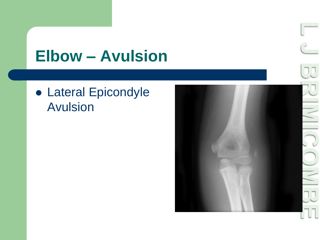#### **Elbow – Avulsion**

 Lateral Epicondyle Avulsion

![](_page_23_Picture_2.jpeg)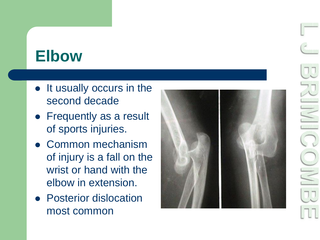#### **Elbow**

- It usually occurs in the second decade
- Frequently as a result of sports injuries.
- Common mechanism of injury is a fall on the wrist or hand with the elbow in extension.
- **Posterior dislocation** most common

![](_page_24_Picture_5.jpeg)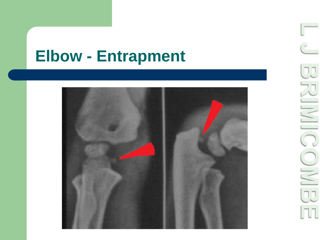#### **Elbow - Entrapment**

![](_page_25_Picture_1.jpeg)

![](_page_25_Picture_2.jpeg)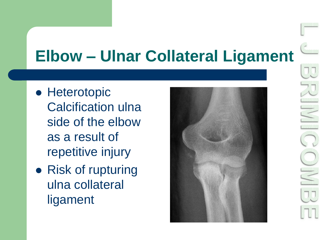## **Elbow – Ulnar Collateral Ligament**

- **Heterotopic** Calcification ulna side of the elbow as a result of repetitive injury
- Risk of rupturing ulna collateral ligament

![](_page_26_Picture_3.jpeg)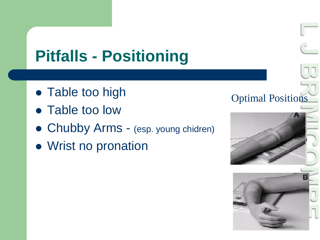## **Pitfalls - Positioning**

- Table too high
- Table too low
- Chubby Arms (esp. young chidren)
- Wrist no pronation

![](_page_27_Picture_5.jpeg)

![](_page_27_Picture_6.jpeg)